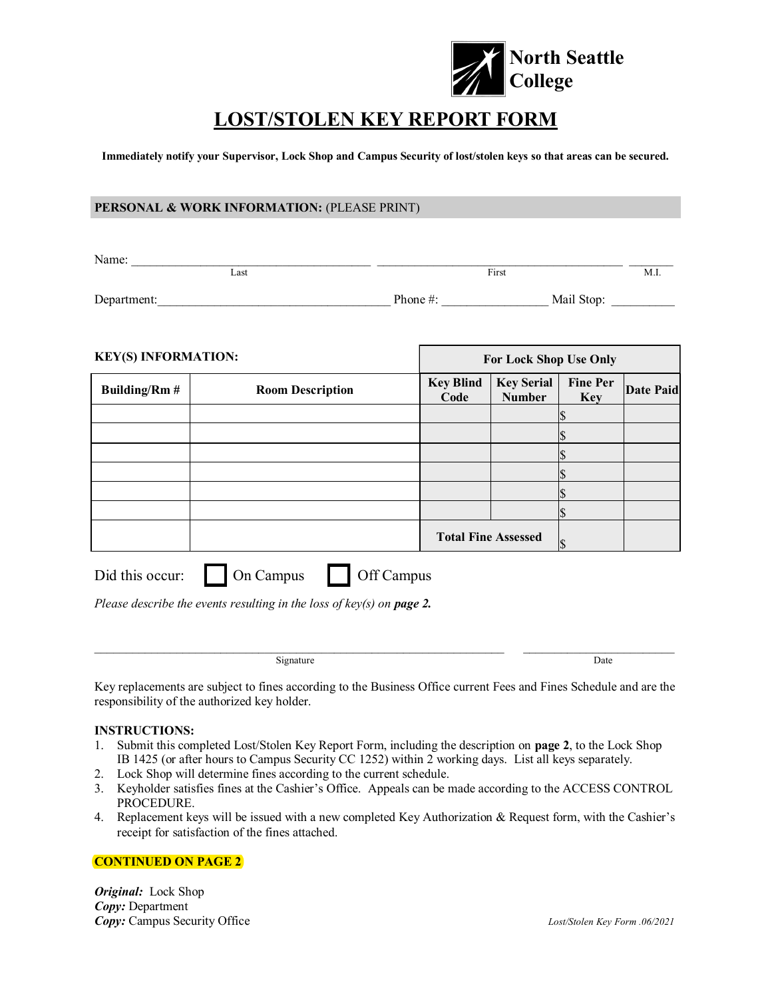

# **LOST/STOLEN KEY REPORT FORM**

**Immediately notify your Supervisor, Lock Shop and Campus Security of lost/stolen keys so that areas can be secured.** 

### **PERSONAL & WORK INFORMATION: (PLEASE PRINT)**

| Name:       |                           |      |
|-------------|---------------------------|------|
| Last        | First                     | M.I. |
| Department: | Mail Stop:<br>Phone $#$ : |      |

| <b>KEY(S) INFORMATION:</b> |                         | For Lock Shop Use Only     |                                    |                               |           |
|----------------------------|-------------------------|----------------------------|------------------------------------|-------------------------------|-----------|
| <b>Building/Rm#</b>        | <b>Room Description</b> | <b>Key Blind</b><br>Code   | <b>Key Serial</b><br><b>Number</b> | <b>Fine Per</b><br><b>Key</b> | Date Paid |
|                            |                         |                            |                                    |                               |           |
|                            |                         |                            |                                    |                               |           |
|                            |                         |                            |                                    |                               |           |
|                            |                         |                            |                                    |                               |           |
|                            |                         |                            |                                    |                               |           |
|                            |                         |                            |                                    |                               |           |
|                            |                         | <b>Total Fine Assessed</b> |                                    |                               |           |

| Did this occur: | On Campus | Off Campus |
|-----------------|-----------|------------|
|-----------------|-----------|------------|

*Please describe the events resulting in the loss of key(s) on page 2.* 

Signature Date

Key replacements are subject to fines according to the Business Office current Fees and Fines Schedule and are the responsibility of the authorized key holder.

 $\omega_{\rm{max}}$  , and the contribution of the contribution of the contribution of the contribution of the contribution of the contribution of the contribution of the contribution of the contribution of the contribution of the

#### **INSTRUCTIONS:**

- 1. Submit this completed Lost/Stolen Key Report Form, including the description on **page 2**, to the Lock Shop IB 1425 (or after hours to Campus Security CC 1252) within 2 working days. List all keys separately.
- 2. Lock Shop will determine fines according to the current schedule.
- 3. Keyholder satisfies fines at the Cashier's Office. Appeals can be made according to the ACCESS CONTROL PROCEDURE.
- 4. Replacement keys will be issued with a new completed Key Authorization & Request form, with the Cashier's receipt for satisfaction of the fines attached.

#### **CONTINUED ON PAGE 2**

*Original:* Lock Shop *Copy:* Department *Copy:* Campus Security Office *Lost/Stolen Key Form .06/2021*